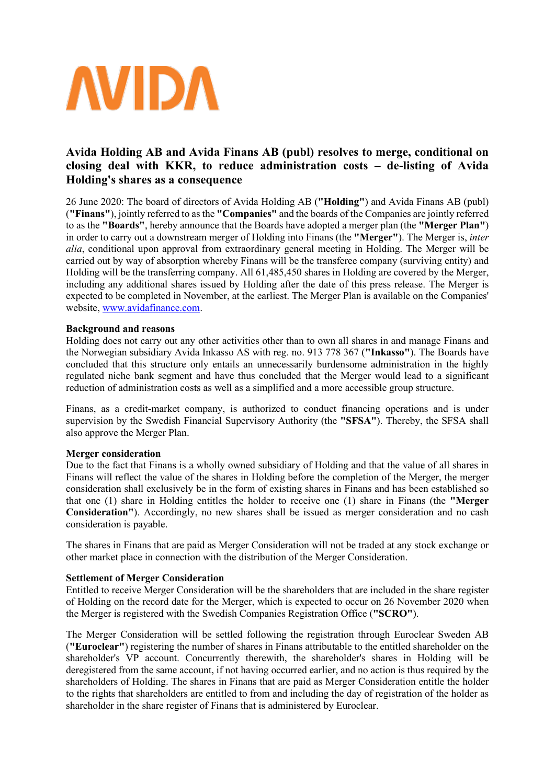

# **Avida Holding AB and Avida Finans AB (publ) resolves to merge, conditional on closing deal with KKR, to reduce administration costs – de-listing of Avida Holding's shares as a consequence**

26 June 2020: The board of directors of Avida Holding AB (**"Holding"**) and Avida Finans AB (publ) (**"Finans"**), jointly referred to as the **"Companies"** and the boards of the Companies are jointly referred to as the **"Boards"**, hereby announce that the Boards have adopted a merger plan (the **"Merger Plan"**) in order to carry out a downstream merger of Holding into Finans (the **"Merger"**). The Merger is, *inter alia*, conditional upon approval from extraordinary general meeting in Holding. The Merger will be carried out by way of absorption whereby Finans will be the transferee company (surviving entity) and Holding will be the transferring company. All 61,485,450 shares in Holding are covered by the Merger, including any additional shares issued by Holding after the date of this press release. The Merger is expected to be completed in November, at the earliest. The Merger Plan is available on the Companies' website, [www.avidafinance.com.](http://www.avidafinance.com/)

# **Background and reasons**

Holding does not carry out any other activities other than to own all shares in and manage Finans and the Norwegian subsidiary Avida Inkasso AS with reg. no. 913 778 367 (**"Inkasso"**). The Boards have concluded that this structure only entails an unnecessarily burdensome administration in the highly regulated niche bank segment and have thus concluded that the Merger would lead to a significant reduction of administration costs as well as a simplified and a more accessible group structure.

Finans, as a credit-market company, is authorized to conduct financing operations and is under supervision by the Swedish Financial Supervisory Authority (the **"SFSA"**). Thereby, the SFSA shall also approve the Merger Plan.

#### **Merger consideration**

Due to the fact that Finans is a wholly owned subsidiary of Holding and that the value of all shares in Finans will reflect the value of the shares in Holding before the completion of the Merger, the merger consideration shall exclusively be in the form of existing shares in Finans and has been established so that one (1) share in Holding entitles the holder to receive one (1) share in Finans (the **"Merger Consideration"**). Accordingly, no new shares shall be issued as merger consideration and no cash consideration is payable.

The shares in Finans that are paid as Merger Consideration will not be traded at any stock exchange or other market place in connection with the distribution of the Merger Consideration.

# **Settlement of Merger Consideration**

Entitled to receive Merger Consideration will be the shareholders that are included in the share register of Holding on the record date for the Merger, which is expected to occur on 26 November 2020 when the Merger is registered with the Swedish Companies Registration Office (**"SCRO"**).

The Merger Consideration will be settled following the registration through Euroclear Sweden AB (**"Euroclear"**) registering the number of shares in Finans attributable to the entitled shareholder on the shareholder's VP account. Concurrently therewith, the shareholder's shares in Holding will be deregistered from the same account, if not having occurred earlier, and no action is thus required by the shareholders of Holding. The shares in Finans that are paid as Merger Consideration entitle the holder to the rights that shareholders are entitled to from and including the day of registration of the holder as shareholder in the share register of Finans that is administered by Euroclear.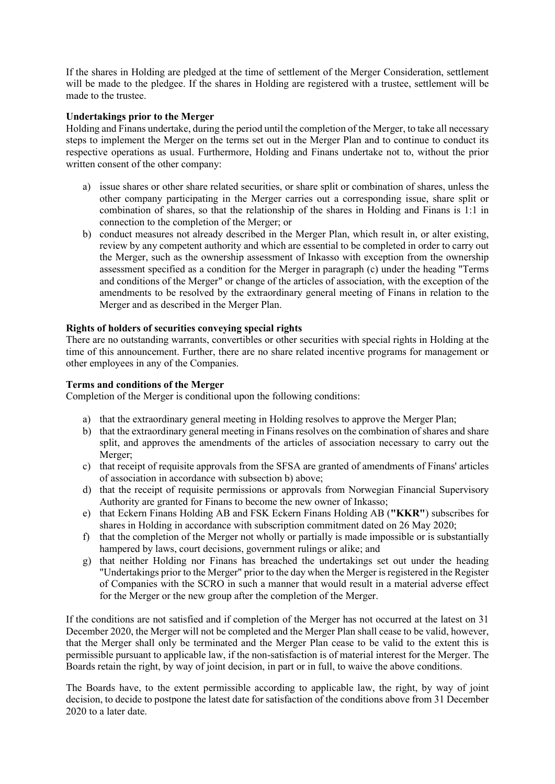If the shares in Holding are pledged at the time of settlement of the Merger Consideration, settlement will be made to the pledgee. If the shares in Holding are registered with a trustee, settlement will be made to the trustee.

# **Undertakings prior to the Merger**

Holding and Finans undertake, during the period until the completion of the Merger, to take all necessary steps to implement the Merger on the terms set out in the Merger Plan and to continue to conduct its respective operations as usual. Furthermore, Holding and Finans undertake not to, without the prior written consent of the other company:

- a) issue shares or other share related securities, or share split or combination of shares, unless the other company participating in the Merger carries out a corresponding issue, share split or combination of shares, so that the relationship of the shares in Holding and Finans is 1:1 in connection to the completion of the Merger; or
- b) conduct measures not already described in the Merger Plan, which result in, or alter existing, review by any competent authority and which are essential to be completed in order to carry out the Merger, such as the ownership assessment of Inkasso with exception from the ownership assessment specified as a condition for the Merger in paragraph (c) under the heading "Terms and conditions of the Merger" or change of the articles of association, with the exception of the amendments to be resolved by the extraordinary general meeting of Finans in relation to the Merger and as described in the Merger Plan.

# **Rights of holders of securities conveying special rights**

There are no outstanding warrants, convertibles or other securities with special rights in Holding at the time of this announcement. Further, there are no share related incentive programs for management or other employees in any of the Companies.

# **Terms and conditions of the Merger**

Completion of the Merger is conditional upon the following conditions:

- a) that the extraordinary general meeting in Holding resolves to approve the Merger Plan;
- b) that the extraordinary general meeting in Finans resolves on the combination of shares and share split, and approves the amendments of the articles of association necessary to carry out the Merger;
- c) that receipt of requisite approvals from the SFSA are granted of amendments of Finans' articles of association in accordance with subsection b) above;
- d) that the receipt of requisite permissions or approvals from Norwegian Financial Supervisory Authority are granted for Finans to become the new owner of Inkasso;
- e) that Eckern Finans Holding AB and FSK Eckern Finans Holding AB (**"KKR"**) subscribes for shares in Holding in accordance with subscription commitment dated on 26 May 2020;
- f) that the completion of the Merger not wholly or partially is made impossible or is substantially hampered by laws, court decisions, government rulings or alike; and
- g) that neither Holding nor Finans has breached the undertakings set out under the heading "Undertakings prior to the Merger" prior to the day when the Merger is registered in the Register of Companies with the SCRO in such a manner that would result in a material adverse effect for the Merger or the new group after the completion of the Merger.

If the conditions are not satisfied and if completion of the Merger has not occurred at the latest on 31 December 2020, the Merger will not be completed and the Merger Plan shall cease to be valid, however, that the Merger shall only be terminated and the Merger Plan cease to be valid to the extent this is permissible pursuant to applicable law, if the non-satisfaction is of material interest for the Merger. The Boards retain the right, by way of joint decision, in part or in full, to waive the above conditions.

The Boards have, to the extent permissible according to applicable law, the right, by way of joint decision, to decide to postpone the latest date for satisfaction of the conditions above from 31 December 2020 to a later date.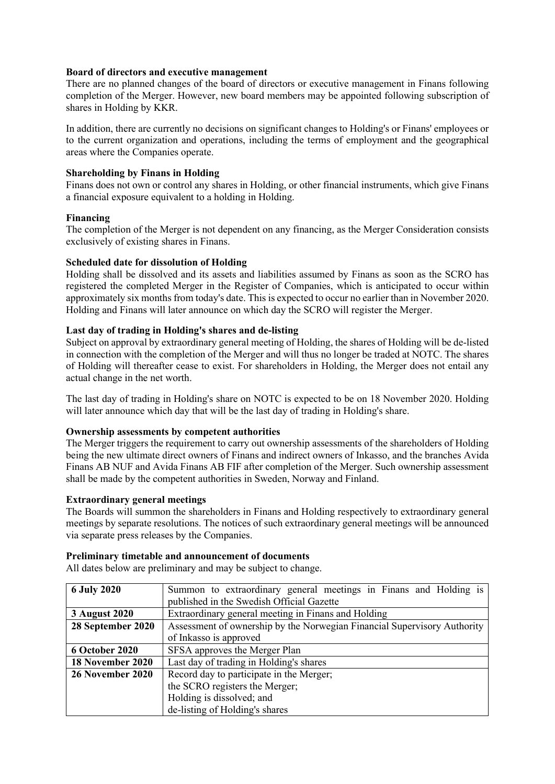# **Board of directors and executive management**

There are no planned changes of the board of directors or executive management in Finans following completion of the Merger. However, new board members may be appointed following subscription of shares in Holding by KKR.

In addition, there are currently no decisions on significant changes to Holding's or Finans' employees or to the current organization and operations, including the terms of employment and the geographical areas where the Companies operate.

# **Shareholding by Finans in Holding**

Finans does not own or control any shares in Holding, or other financial instruments, which give Finans a financial exposure equivalent to a holding in Holding.

#### **Financing**

The completion of the Merger is not dependent on any financing, as the Merger Consideration consists exclusively of existing shares in Finans.

#### **Scheduled date for dissolution of Holding**

Holding shall be dissolved and its assets and liabilities assumed by Finans as soon as the SCRO has registered the completed Merger in the Register of Companies, which is anticipated to occur within approximately six months from today's date. This is expected to occur no earlier than in November 2020. Holding and Finans will later announce on which day the SCRO will register the Merger.

# **Last day of trading in Holding's shares and de-listing**

Subject on approval by extraordinary general meeting of Holding, the shares of Holding will be de-listed in connection with the completion of the Merger and will thus no longer be traded at NOTC. The shares of Holding will thereafter cease to exist. For shareholders in Holding, the Merger does not entail any actual change in the net worth.

The last day of trading in Holding's share on NOTC is expected to be on 18 November 2020. Holding will later announce which day that will be the last day of trading in Holding's share.

#### **Ownership assessments by competent authorities**

The Merger triggers the requirement to carry out ownership assessments of the shareholders of Holding being the new ultimate direct owners of Finans and indirect owners of Inkasso, and the branches Avida Finans AB NUF and Avida Finans AB FIF after completion of the Merger. Such ownership assessment shall be made by the competent authorities in Sweden, Norway and Finland.

#### **Extraordinary general meetings**

The Boards will summon the shareholders in Finans and Holding respectively to extraordinary general meetings by separate resolutions. The notices of such extraordinary general meetings will be announced via separate press releases by the Companies.

# **Preliminary timetable and announcement of documents**

All dates below are preliminary and may be subject to change.

| <b>6 July 2020</b>   | Summon to extraordinary general meetings in Finans and Holding is        |
|----------------------|--------------------------------------------------------------------------|
|                      | published in the Swedish Official Gazette                                |
| <b>3 August 2020</b> | Extraordinary general meeting in Finans and Holding                      |
| 28 September 2020    | Assessment of ownership by the Norwegian Financial Supervisory Authority |
|                      | of Inkasso is approved                                                   |
| 6 October 2020       | SFSA approves the Merger Plan                                            |
| 18 November 2020     | Last day of trading in Holding's shares                                  |
| 26 November 2020     | Record day to participate in the Merger;                                 |
|                      | the SCRO registers the Merger;                                           |
|                      | Holding is dissolved; and                                                |
|                      | de-listing of Holding's shares                                           |